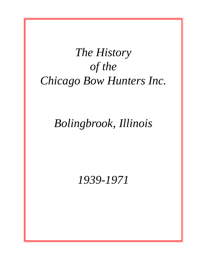# *The History of the Chicago Bow Hunters Inc.*

## *Bolingbrook, Illinois*

### *1939-1971*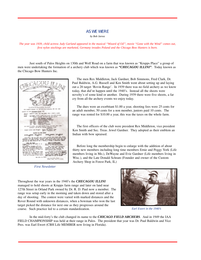#### AS WE WERE

*by Bob Jarosz*

*The year was 1939, child actress Judy Garland appeared in the musical "Wizard of OZ", movie "Gone with the Wind" comes out, first nylon stockings are marketed, Germany invades Poland and the Chicago Bow Hunters is born.*

Just south of Palos Heights on 130th and Wolf Road on a farm that was known as "Krupps Place" a group of men were undertaking the formation of a archery club which was known as *"CHECAGOU ILLINI"*. Today known as the Chicago Bow Hunters Inc.



*First Newsletter*

The men Rex Middleton, Jack Gardner, Bob Simmons, Fred Clark, Dr. Paul Baldwin, A.G. Russell and Ken Smith went about setting up and laying out a 28 target 'Rovin Range'. In 1939 there was no field archery as we know today, that did'nt happen until the 1940's. Instead all the shoots were novelty's of some kind or another. During 1939 there were five shoots, a far cry from all the archery events we enjoy today.

The dues were an exorbitant \$1.00 a year, shooting fees were 25 cents for an adult member, 50 cents for a non member, juniors paid 10 cents. The range was rented for \$10.00 a year, this was the taxes on the whole farm.

The first officers of the club were president Rex Middleton, vice president Ken Smith and Sec. Treas. Jewel Gardner. They adopted as their emblem an Indian with bow upraised.

Before long the membership begin to enlarge with the addition of about thirty new members including long time members Ernie and Peggy York (Life members living in Mo.), DeWayne and Evie Gardner (Life members living in Wisc.), and the Late Donald Schram (Founder and owner of the Custom Archery Shop in Forest Park, IL)

Throughout the war years in the 1940's the *CHECAGOU ILLINI* managed to hold shoots at Krupps farm range and later on land near 127th Street in Orland Park owned by Dr. R. D. Paul now a member. The range was setup early in the morning and taken down and stored after a day of shooting. The contest were varied with marked distances and the Rover Round with unknown distances, when a bowman who won the last target picked the distance for next one as they progresses around the course. Such practice led to a certain standardization.



*Earl Ewert in the 1940's*

In the mid-forty's the club changed its name to the *CHICAGO FIELD ARCHERS*. And in 1949 the IAA FIELD CHAMPIONSHIP was held at their range in Palos. The president that year was Dr. Paul Baldwin and Vice Pres. was Earl Ewert (CBH Life MEMBER now living in Florida).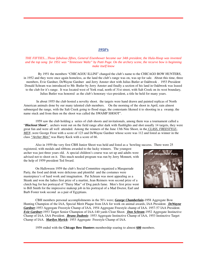### *1950's*

#### *THE FIFTIES....Those fabulous fifties, General Eisenhower became our 34th president, the Hula-Hoop was invented and the top song for 1951 was "Tennessee Waltz" by Patti Page. On the archery scene, the recurve bow is beginning make itself know*

 By 1951 the members "CHICAGOU ILLINI" changed the club's name to the CHICAGO BOW HUNTERS, in 1952 and they were once again homeless, as the land the club's range was on, was up for sale. About this time, three members, Evie Gardner, DeWayne Gardner and Jerry Amster shot with Julius Butler at Oakbrook . 1953 President Donald Schram was introduced to Mr. Butler by Jerry Amster and finally a section of his land in Oakbrook was leased to the club for it's range. It was located west of York road, north of 31st street, with Salt Creek on its west boundary, Julius Butler was honored as the club's honorary vice-president, a title he held for many years.

 In about 1955 the club hosted a novelty shoot. the targets were hand drawn and painted replicas of North American animals done by our many talented club members. On the morning of the shoot in April, rain almost submerged the range, with the Salt Creek going to flood stage, the contestants likened it to shooting in a swamp, the name stuck and from then on the shoot was called the SWAMP SHOOT".

1959 saw the club holding a series of club shoots and invitationals, among them was a tournament called a "*Blackout Shoot*", archers went out on the field range after dark with flashlights and shot usually 14 targets, they were great fun and were all well attended. Among the winners of the June 13th Nite Shoot, in the *CLASS, FREESTYLE-MEN* ,were George Frost with a score of 123 and DeWayne Gardner whose score was 112 and listed as winner in the class *"Archer Men"* was Harry Keck with a score of 66.

Also in 1959 the very first CBH Junior Shoot was held and listed as a 'howling success. There were 25

registered, with medals and ribbons awarded to the lucky winners. The youngest archer was just three years old. A special children's course was set up and adults were advised not to shoot on it. This much needed program was run by Jerry Monnett, with the help of 1959 president Ted Sward.

On Halloween 1959 the club's Social Committee organized a Masquerade Party, the food and drink were delicious and plentiful and the costumes were masterpiece's of hard work and imagination. Pat Schram was most appealing as a Skunk and won the ladies first prize of a martini, Jean Reimers won second prize of a clutch bag for her portrayal of "Daisy Mae" of Dog patch fame. Men's first prize went to Bill Smith for the impressive makeup job in his portrayal of a Mad Doctor, Earl and Barb Foster took second as a pair of Egyptians.



CBH members personal accomplishments in the 50's were; *George Chamberlain***-**1958 Aggregate Bow Hunting Champion of the IAA, Special Merit Plaque from IAA for work on animal awards, IAA President. *DeWayne Gardner*-1953 Aggregate Freestyle Champ of IAA, 1954 Aggregate Freestyle champ of IAA. 1957-57 IAA President. *Evie Gardner***-**1953 Target Senior Champion of IAA-140 yards Clout Shoot. *Don Schram*-1952 Aggregate Instinctive Champ of IAA, IAA President. *Bruno Dudonis***-** 1953 Aggregate Instinctive Champ of IAA, 1953 Instinctive Target Champ of IAA. *Marilyn Myrick*- 1953 Aggregate Freestyle Champ of IAA.

1959 ended with the **Chicago Bow Hunters** membership soaring to almost **600** members.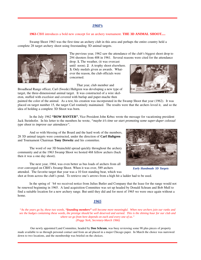#### *1960's*

#### **1963**-CBH introduces a bold new concept for an archery tournament. **THE 3D ANIMAL SHOOT.....**

Swamp Shoot 1963 was the first time an archery club in this area and perhaps the entire country held a complete 28 target archery shoot using freestanding 3D animal targets.

> The previous year, 1962 saw the attendance of the club's biggest shoot drop to 294 shooters from 408 in 1961. Several reasons were cited for the attendance drop. **1.** The weather, (it was overcast

until noon). **2**. A trophy shoot elsewhere. **3.** Only medals given as awards. Whatever the reason, the club officials were concerned.

That year, club member and Broadhead Range officer, Carl (Swede) Hultgren was developing a new type of target, the three-dimensional animal target. It was constructed of a wire skeleton, stuffed with excelsior and covered with burlap and paper-mache then

painted the color of the animal. As a test, his creation was incorporated in the Swamp Shoot that year (1962). It was placed on target number 15, the target Carl routinely maintained. The results were that the archers loved it, and so the idea of holding a complete 3D Shoot was born.

In the July 1962 **"BOW BANTER"**, Vice President John Krbec wrote the message for vacationing president Jack Steinhofer. In his letter to the members he wrote, *"maybe it's time we start promoting some super-duper colossal type shoot to improve our attendance".*

And so with blessing of the Board and the hard work of the members, 28 3D animal targets were constructed, under the direction of **Carl Hultgren** and Tournament Chairman **Tony Drewitz** and his committee.

The word of our 3D brainchild spread quickly throughout the archery community and at the 1963 Swamp Shoot we hosted 468 fellow archers (back then it was a one day shoot).

The next year, 1964, was even better as bus loads of archers from all over converged on CBH's Swamp Shoot. When it was over, 589 archers attended. The favorite target that year was a 10 foot standing bear, which was

shot at from across the club's pond. To retrieve one's arrows from a high hit a ladder had to be used.

In the spring of '64 we received notice from Julius Butler and Company that the lease for the range would not be renewed beginning in 1965. A land acquisition Committee was set up headed by Donald Schram and Bob Mull to find a suitable location for a new archery range. But until they did and for most of 1965 we were once again without a home.

#### *1965*

*"As the years go by, these two words, "founding members" will become more meaningful. When new archers join our ranks and see the badges containing these words, the prestige should be well deserved and earned. This is the shining hour for our club and where we go from here depends on each and every one of us." (Peggy York, Secretary-March 1966)*

 Our newly appointed Land Committee, headed by **Don Schram**, was busy reviewing some 90 plus pieces of property made available to us through personal contact and from an ad placed in a major Chicago paper. In March the choice was narrowed down to two locations, and the membership was briefed on the choices.



*Early Handmade 3D Targets*



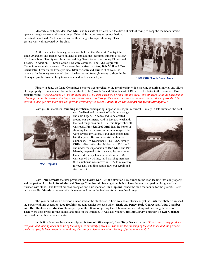Meanwhile club president **Bob Mull** and his staff of officers had the difficult task of trying to keep the members interest

up even though we were without a range. Other clubs in our league, sympathetic to our situation offered CBH members use of their ranges for open shooting. This gesture was well accepted by the club.

At the banquet in January, which was held at the Midwest Country Club, some 90 archers and friends were on hand to applaud the accomplishments of fellow CBH members. Twenty members received Big Game Awards for taking 19 deer and 4 bears. In addition 13 Small Game Pins were awarded. The 1964 Aggregate Champions were also crowned. They were, Instinctive shooters, **Bob Mull** and **Terri Czekanski**. Over on the Freestyle side, **Stan Swiston** and **Pam Krbec** were the winners. In February we entered both instinctive and freestyle teams to shoot in the **Chicago Sports Show** archery tournament and took a second place.



*1965 CBH Sports Show Team*

Finally in June, the Land Committee's choice was unveiled to the membership with a meeting featuring, movies and slides of the property. It was located two miles north of Rt. 66 (now I-55) and 3/4 mile east of Rt. 53. In his letter to the members, **Don Schram** writes, *"Our purchase will be 30 acres and a 1 1/2 acre easement or road into the area. The 30 acres lie in the back end of a horse farm and is covered with large oak trees-a creek runs through the center and we are bordered on two sides by woods. The terrain is ideal for our sport and will provide everything we desire, I doubt if we will ever get our feet muddy again...***"**

With just 80 members (**founding members**) participating, negotiations began in earnest. Finally in late summer the deal



*Doc Hopkins*

was finalized and the work of building a range and club began. A fence had to be erected around our perimeter. And in just two weekends the field range was built. By mid September all was ready, President **Bob Mull** had the honor of shooting the first arrow on our new range. There were several invitationals and club shoots held late that year. But we were still without a clubhouse. On December 11-12, 1965, twenty CBHers dismantled the clubhouse in Oakbrook, and under the supervision of **Bob Mull** and **Pat Maude,** prepared it for transit to its new home. On a cold, snowy January weekend in 1966 it was erected by willing, hard working members. (this clubhouse was moved in 1977 to make way for our new building, and is now our repair and storehouse)



With **Tony Drewitz** the new president and **Harry Keck** VP, the attention now turned to the road leading into our property and the parking lot. **Jack Steinhofer** and **George Chamberlain** began getting bids to have the road and parking lot graded and finished with stone. The lowest bid was accepted and club member **Doc Hopkins** loaned the club the money for the project. Later in the year **Pat Maude** came out with his tractor and put in the bunkers for a broadhead range.

The year ended with a venison dinner held at the clubhouse. There was no electricity as yet, so **Jack Steinhofer** furnished the power with his generator. **Doc Hopkins** brought candles for each table. **Ernie** and **Peggy York**, **George** and **Anita Chamberlain**, **Doc Hopkins** and **Marilyn Hassiepen** spent the afternoon getting the clubhouse in order along with cooking the venison. There were door prizes for the adults, and gifts for the children. It was also young **Carol McGarvey's** birthday so **Evie Gardner** presented her with a decorated cake.

In his final letter to the membership as his term of office expired, Pres. **Tony Drewitz** writes,*"it has been a very productive year, and looking back at some of the things we did really proves it. The road, the finishing of the clubhouse and the personal pride that people have taken in maintaining their targets, leaves me with a feeling of pride in our club."*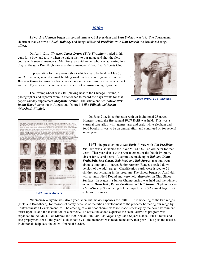#### *1970's*

*1970*, *Art Monnett* began his second term as CBH president and *Stan Swiston* was VP. The Tournament chairman that year was *Chuck Maloney* and Range officer *Al Preslicka*, with *Don Dvorak* the Broadhead range officer.

On April 12th, TV actor *James Drury, (TV's Virginian)* traded in his guns for a bow and arrow when he paid a visit to our range and shot the field course with several members. Mr. Drury, an avid archer who was appearing in a play at Pheasant Run Playhouse was also a member of Fred Bear's Sports Club.

In preparation for the Swamp Shoot which was to be held on May 30 and 31 that year, several animal building work parties were organized, both at *Bob and Diane Fruhwirth's* home workshop and at our range as the weather got warmer. By now our the animals were made out of arrow saving Styrofoam.



*James Drury, TV's Virginian*

The Swamp Shoot saw CBH playing host to the Chicago Tribune, a photographer and reporter were in attendance to record the days events for that papers Sunday supplement *Magazine Section*. The article entitled *"Move over Robin Hood"* came out in August and featured *Mike Filipiak and Susan (Marshall) Filipiak.*



*1971 Junior Archers*

On June 21st, in conjunction with an invitational 28 target Hunters round, the first annual *FUN FAIR* was held. This was a carnival type affair with games, arts and craft, white elephant and food booths. It was to be an annual affair and continued on for several more years.

*1971*, the president now was *Earle Ewert,* with *Jim Preslicka VP.* Jim was also named the SWAMP SHOOT co-ordinater for that year . That year also saw the reinstatement of the Youth Program, absent for several years. A committee made up of *Bob and Diane Fruhwirth, Bob Gorge, Bob Reed and Bob Jarosz* met and went about setting up a 14 target Junior Archery Range, a scaled down version of the adult range. Classification cards were issued to 21 children participating in the program. The shoots began on April 4th with a junior Field Round and were held thereafter on Club Shoot Sundays. In August a Junior Championship was held and the winners included *Dean Hill , Karen Preslicka and Jeff Jarosz*. September saw a Mini-Swamp Shoot being held, complete with 3D animal targets set at Junior distances.

*Nineteen-seventyone* was also a year laden with heavy expenses for CBH. The remodeling of the two ranges (Field and Broadhead), for reasons of safety because of the urban development of the property bordering our range by Centex-Winston Development Co. The erecting of a six foot chain-link fence made necessary by the new environment thrust upon us and the installation of electricity. To offset the added expenses the social activities program was expanded to include, a Flea Market and Box Social, Fun Fair, Las Vegas Night and Square Dance. Plus a raffle and also prepayment for all the years' club shoots by all the members was made mandatory that year. This plus the usual 6 Invitationals help ease the clubs' financial burden.